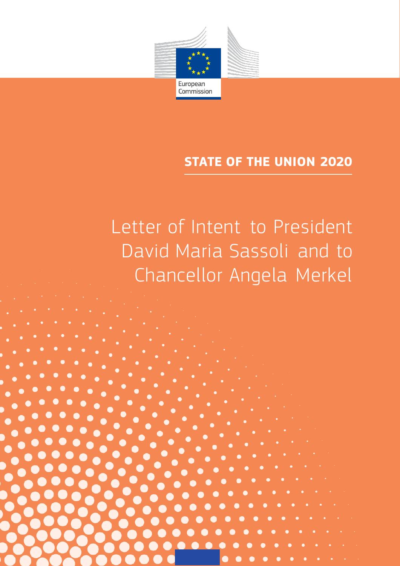

# **STATE OF THE UNION 2020**

Letter of Intent to President David Maria Sassoli and to Chancellor Angela Merkel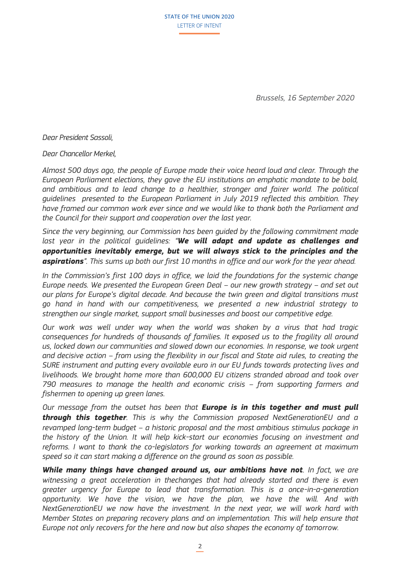STATE OF THE UNION 2020 LETTER OF INTENT

*Brussels, 16 September 2020*

*Dear President Sassoli,* 

#### *Dear Chancellor Merkel,*

*Almost 500 days ago, the people of Europe made their voice heard loud and clear. Through the European Parliament elections, they gave the EU institutions an emphatic mandate to be bold, and ambitious and to lead change to a healthier, stronger and fairer world. The political guidelines presented to the European Parliament in July 2019 reflected this ambition. They have framed our common work ever since and we would like to thank both the Parliament and the Council for their support and cooperation over the last year.* 

*Since the very beginning, our Commission has been guided by the following commitment made last year in the political guidelines: "We will adapt and update as challenges and opportunities inevitably emerge, but we will always stick to the principles and the aspirations". This sums up both our first 10 months in office and our work for the year ahead.* 

In the Commission's first 100 days in office, we laid the foundations for the systemic change *Europe needs. We presented the European Green Deal – our new growth strategy – and set out our plans for Europe's digital decade. And because the twin green and digital transitions must go hand in hand with our competitiveness, we presented a new industrial strategy to strengthen our single market, support small businesses and boost our competitive edge.* 

*Our work was well under way when the world was shaken by a virus that had tragic consequences for hundreds of thousands of families. It exposed us to the fragility all around us, locked down our communities and slowed down our economies. In response, we took urgent and decisive action – from using the flexibility in our fiscal and State aid rules, to creating the SURE instrument and putting every available euro in our EU funds towards protecting lives and livelihoods. We brought home more than 600,000 EU citizens stranded abroad and took over*  790 measures to manage the health and economic crisis – from supporting farmers and *fishermen to opening up green lanes.* 

*Our message from the outset has been that Europe is in this together and must pull through this together. This is why the Commission proposed NextGenerationEU and a revamped long-term budget – a historic proposal and the most ambitious stimulus package in the history of the Union. It will help kick-start our economies focusing on investment and reforms. I want to thank the co-legislators for working towards an agreement at maximum speed so it can start making a difference on the ground as soon as possible.*

*While many things have changed around us, our ambitions have not. In fact, we are witnessing a great acceleration in thechanges that had already started and there is even greater urgency for Europe to lead that transformation. This is a once-in-a-generation opportunity. We have the vision, we have the plan, we have the will. And with NextGenerationEU we now have the investment. In the next year, we will work hard with Member States on preparing recovery plans and on implementation. This will help ensure that Europe not only recovers for the here and now but also shapes the economy of tomorrow.*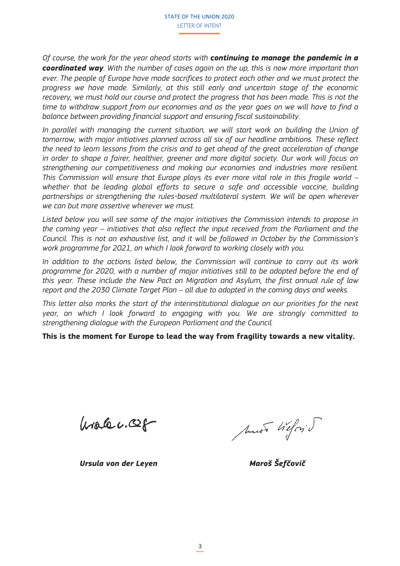*Of course, the work for the year ahead starts with continuing to manage the pandemic in a coordinated way. With the number of cases again on the up, this is now more important than ever. The people of Europe have made sacrifices to protect each other and we must protect the progress we have made. Similarly, at this still early and uncertain stage of the economic recovery, we must hold our course and protect the progress that has been made. This is not the time to withdraw support from our economies and as the year goes on we will have to find a balance between providing financial support and ensuring fiscal sustainability.* 

In parallel with managing the current situation, we will start work on building the Union of *tomorrow, with major initiatives planned across all six of our headline ambitions. These reflect the need to learn lessons from the crisis and to get ahead of the great acceleration of change*  in order to shape a fairer, healthier, greener and more digital society. Our work will focus on *strengthening our competitiveness and making our economies and industries more resilient. This Commission will ensure that Europe plays its ever more vital role in this fragile world – whether that be leading global efforts to secure a safe and accessible vaccine, building partnerships or strengthening the rules-based multilateral system. We will be open wherever we can but more assertive wherever we must.* 

*Listed below you will see some of the major initiatives the Commission intends to propose in the coming year – initiatives that also reflect the input received from the Parliament and the Council. This is not an exhaustive list, and it will be followed in October by the Commission's work programme for 2021, on which I look forward to working closely with you.* 

*In addition to the actions listed below, the Commission will continue to carry out its work programme for 2020, with a number of major initiatives still to be adopted before the end of this year. These include the New Pact on Migration and Asylum, the first annual rule of law report and the 2030 Climate Target Plan – all due to adopted in the coming days and weeks.* 

*This letter also marks the start of the interinstitutional dialogue on our priorities for the next year, on which I look forward to engaging with you. We are strongly committed to strengthening dialogue with the European Parliament and the Council.*

**This is the moment for Europe to lead the way from fragility towards a new vitality.** 

 $urs.6c.02f$ 

Must Wiloy J

*Ursula von der Leyen Maroš Šefčovič*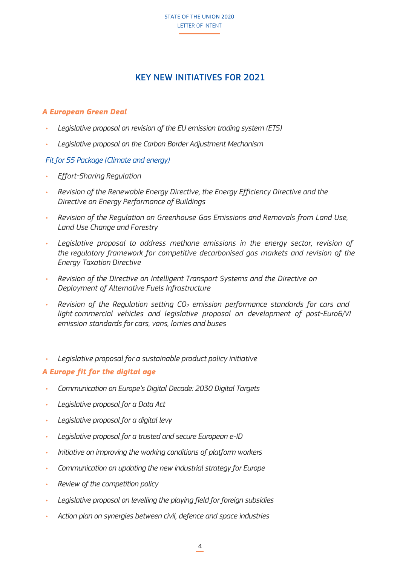STATE OF THE UNION 2020 LETTER OF INTENT

# KEY NEW INITIATIVES FOR 2021

# *A European Green Deal*

- *• Legislative proposal on revision of the EU emission trading system (ETS)*
- *• Legislative proposal on the Carbon Border Adjustment Mechanism*

## *Fit for 55 Package (Climate and energy)*

- *• Effort-Sharing Regulation*
- *• Revision of the Renewable Energy Directive, the Energy Efficiency Directive and the Directive on Energy Performance of Buildings*
- *• Revision of the Regulation on Greenhouse Gas Emissions and Removals from Land Use, Land Use Change and Forestry*
- *• Legislative proposal to address methane emissions in the energy sector, revision of the regulatory framework for competitive decarbonised gas markets and revision of the Energy Taxation Directive*
- *• Revision of the Directive on Intelligent Transport Systems and the Directive on Deployment of Alternative Fuels Infrastructure*
- *• Revision of the Regulation setting CO<sup>2</sup> emission performance standards for cars and light commercial vehicles and legislative proposal on development of post-Euro6/VI emission standards for cars, vans, lorries and buses*
- *• Legislative proposal for a sustainable product policy initiative*

## *A Europe fit for the digital age*

- *• Communication on Europe's Digital Decade: 2030 Digital Targets*
- *• Legislative proposal for a Data Act*
- *• Legislative proposal for a digital levy*
- *• Legislative proposal for a trusted and secure European e-ID*
- *• Initiative on improving the working conditions of platform workers*
- *• Communication on updating the new industrial strategy for Europe*
- *• Review of the competition policy*
- *• Legislative proposal on levelling the playing field for foreign subsidies*
- *• Action plan on synergies between civil, defence and space industries*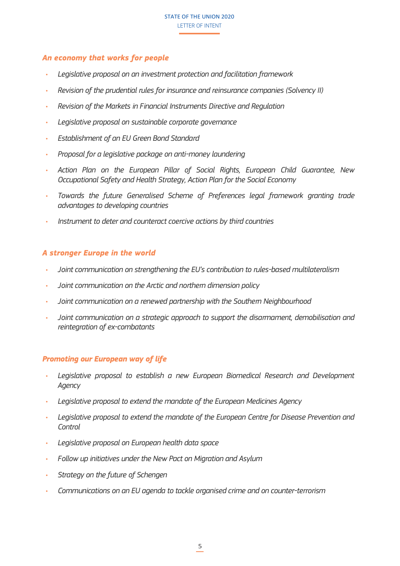# *An economy that works for people*

- *• Legislative proposal on an investment protection and facilitation framework*
- *• Revision of the prudential rules for insurance and reinsurance companies (Solvency II)*
- *• Revision of the Markets in Financial Instruments Directive and Regulation*
- *• Legislative proposal on sustainable corporate governance*
- *• Establishment of an EU Green Bond Standard*
- *• Proposal for a legislative package on anti-money laundering*
- *• Action Plan on the European Pillar of Social Rights, European Child Guarantee, New Occupational Safety and Health Strategy, Action Plan for the Social Economy*
- *• Towards the future Generalised Scheme of Preferences legal framework granting trade advantages to developing countries*
- *• Instrument to deter and counteract coercive actions by third countries*

#### *A stronger Europe in the world*

- *• Joint communication on strengthening the EU's contribution to rules-based multilateralism*
- *• Joint communication on the Arctic and northern dimension policy*
- *• Joint communication on a renewed partnership with the Southern Neighbourhood*
- *• Joint communication on a strategic approach to support the disarmament, demobilisation and reintegration of ex-combatants*

#### *Promoting our European way of life*

- *• Legislative proposal to establish a new European Biomedical Research and Development Agency*
- *• Legislative proposal to extend the mandate of the European Medicines Agency*
- *• Legislative proposal to extend the mandate of the European Centre for Disease Prevention and Control*
- *• Legislative proposal on European health data space*
- *• Follow up initiatives under the New Pact on Migration and Asylum*
- *• Strategy on the future of Schengen*
- *• Communications on an EU agenda to tackle organised crime and on counter-terrorism*